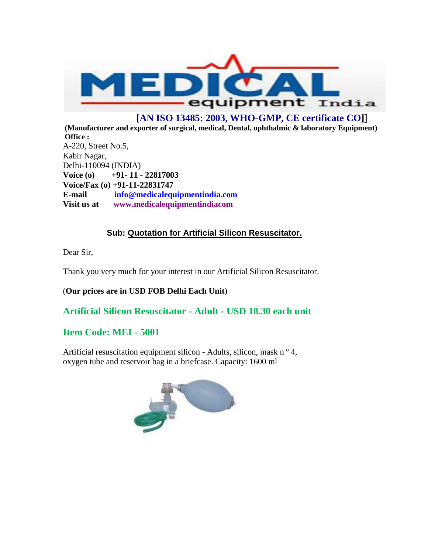

# **[AN ISO 13485: 2003, WHO-GMP, CE certificate CO]]**

**(Manufacturer and exporter of surgical, medical, Dental, ophthalmic & laboratory Equipment) Office :**  A-220, Street No.5, Kabir Nagar, Delhi-110094 (INDIA) **Voice (o) +91- 11 - 22817003 Voice/Fax (o) +91-11-22831747 E-mail info@medicalequipmentindia.com Visit us at www.medicalequipmentindiacom**

### **Sub: Quotation for Artificial Silicon Resuscitator.**

Dear Sir,

Thank you very much for your interest in our Artificial Silicon Resuscitator.

(**Our prices are in USD FOB Delhi Each Unit**)

**Artificial Silicon Resuscitator - Adult - USD 18.30 each unit**

# **Item Code: MEI - 5001**

Artificial resuscitation equipment silicon - Adults, silicon, mask n<sup>o</sup> 4, oxygen tube and reservoir bag in a briefcase. Capacity: 1600 ml

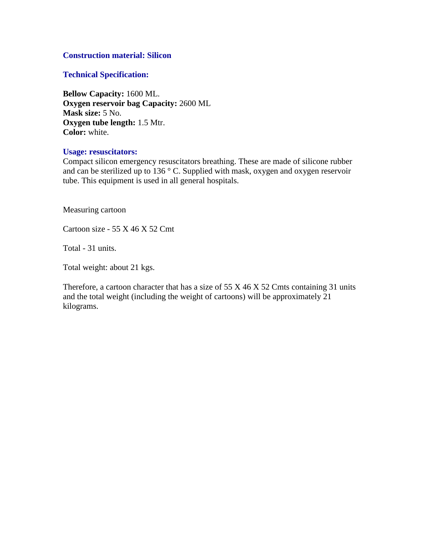#### **Construction material: Silicon**

#### **Technical Specification:**

**Bellow Capacity:** 1600 ML. **Oxygen reservoir bag Capacity:** 2600 ML **Mask size:** 5 No. **Oxygen tube length:** 1.5 Mtr. **Color:** white.

#### **Usage: resuscitators:**

Compact silicon emergency resuscitators breathing. These are made of silicone rubber and can be sterilized up to 136 $\degree$  C. Supplied with mask, oxygen and oxygen reservoir tube. This equipment is used in all general hospitals.

Measuring cartoon

Cartoon size - 55 X 46 X 52 Cmt

Total - 31 units.

Total weight: about 21 kgs.

Therefore, a cartoon character that has a size of  $55 \times 46 \times 52$  Cmts containing 31 units and the total weight (including the weight of cartoons) will be approximately 21 kilograms.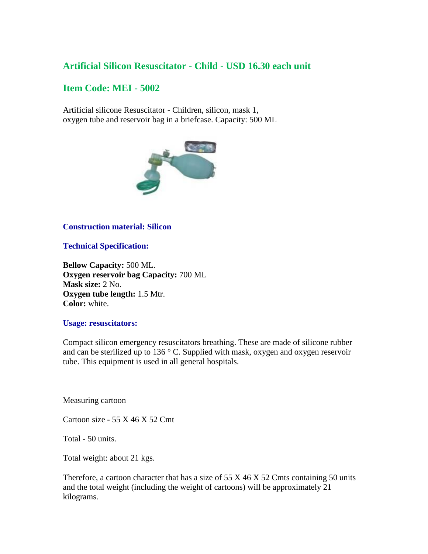## **Artificial Silicon Resuscitator - Child - USD 16.30 each unit**

### **Item Code: MEI - 5002**

Artificial silicone Resuscitator - Children, silicon, mask 1, oxygen tube and reservoir bag in a briefcase. Capacity: 500 ML



#### **Construction material: Silicon**

**Technical Specification:**

**Bellow Capacity:** 500 ML. **Oxygen reservoir bag Capacity:** 700 ML **Mask size:** 2 No. **Oxygen tube length:** 1.5 Mtr. **Color:** white.

#### **Usage: resuscitators:**

Compact silicon emergency resuscitators breathing. These are made of silicone rubber and can be sterilized up to 136 $\degree$  C. Supplied with mask, oxygen and oxygen reservoir tube. This equipment is used in all general hospitals.

Measuring cartoon

Cartoon size - 55 X 46 X 52 Cmt

Total - 50 units.

Total weight: about 21 kgs.

Therefore, a cartoon character that has a size of  $55 \times 46 \times 52$  Cmts containing 50 units and the total weight (including the weight of cartoons) will be approximately 21 kilograms.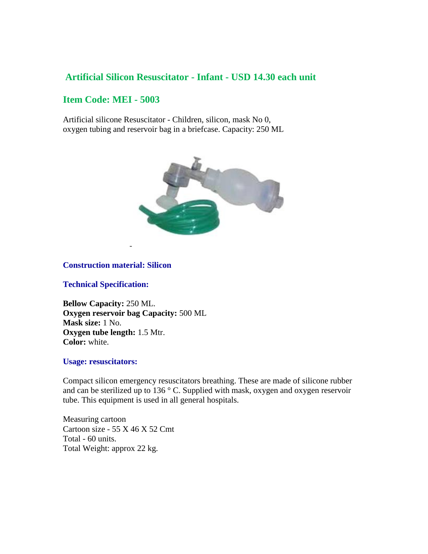### **Artificial Silicon Resuscitator - Infant - USD 14.30 each unit**

## **Item Code: MEI - 5003**

Artificial silicone Resuscitator - Children, silicon, mask No 0, oxygen tubing and reservoir bag in a briefcase. Capacity: 250 ML



#### **Construction material: Silicon**

-

#### **Technical Specification:**

**Bellow Capacity:** 250 ML. **Oxygen reservoir bag Capacity:** 500 ML **Mask size:** 1 No. **Oxygen tube length:** 1.5 Mtr. **Color:** white.

#### **Usage: resuscitators:**

Compact silicon emergency resuscitators breathing. These are made of silicone rubber and can be sterilized up to 136 ° C. Supplied with mask, oxygen and oxygen reservoir tube. This equipment is used in all general hospitals.

Measuring cartoon Cartoon size - 55 X 46 X 52 Cmt Total - 60 units. Total Weight: approx 22 kg.